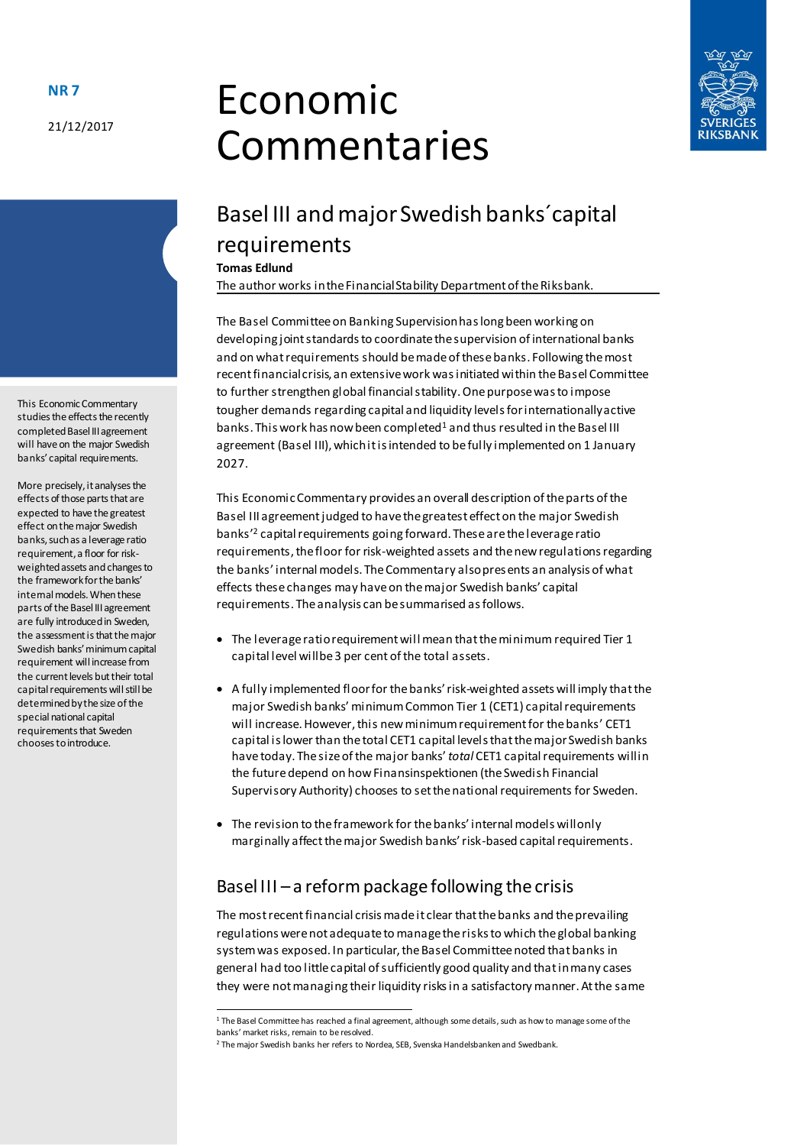21/12/2017

# Economic Commentaries



# Basel III and major Swedish banks´capital requirements

**Tomas Edlund**

The author works in the Financial Stability Department of the Riksbank.

The Basel Committee on Banking Supervision has long been working on developing joint standards to coordinate the supervision of international banks and on what requirements should be made of these banks. Following the most recent financial crisis, an extensive work was initiated within the Basel Committee to further strengthen global financial stability. One purpose was to impose tougher demands regarding capital and liquidity levels for internationally active banks. This work has now been completed<sup>1</sup> and thus resulted in the Basel III agreement (Basel III), which it is intended to be fully implemented on 1 January 2027.

This Economic Commentary provides an overall description of the parts of the Basel III agreement judged to have the greatest effect on the major Swedish banks'<sup>2</sup> capital requirements going forward. These are the leverage ratio requirements, the floor for risk-weighted assets and the new regulations regarding the banks' internal models. The Commentary also presents an analysis of what effects these changes may have on the major Swedish banks' capital requirements. The analysis can be summarised as follows.

- The leverage ratio requirement will mean that the minimum required Tier 1 capital level will be 3 per cent of the total assets.
- A fully implemented floor for the banks' risk-weighted assets will imply that the major Swedish banks' minimum Common Tier 1 (CET1) capital requirements will increase. However, this new minimum requirement for the banks' CET1 capital is lower than the total CET1 capital levels that the major Swedish banks have today. The size of the major banks' *total* CET1 capital requirements will in the future depend on how Finansinspektionen (the Swedish Financial Supervisory Authority) chooses to set the national requirements for Sweden.
- The revision to the framework for the banks' internal models will only marginally affect the major Swedish banks' risk-based capital requirements.

### Basel III – a reform package following the crisis

The most recent financial crisis made it clear that the banks and the prevailing regulations were not adequate to manage the risks to which the global banking system was exposed. In particular, the Basel Committee noted that banks in general had too little capital of sufficiently good quality and that in many cases they were not managing their liquidity risks in a satisfactory manner. At the same

 $1$  The Basel Committee has reached a final agreement, although some details, such as how to manage some of the banks' market risks, remain to be resolved.

 $\overline{a}$ 

This Economic Commentary studies the effects the recently completed Basel III agreement will have on the major Swedish banks' capital requirements.

More precisely, it analyses the effects of those parts that are expected to have the greatest effect on the major Swedish banks, such as a leverage ratio requirement, a floor for riskweighted assets and changes to the framework for the banks' internal models. When these parts of the Basel III agreement are fully introduced in Sweden, the assessment is that the major Swedish banks' minimum capital requirement will increase from the current levels but their total capital requirements will still be determined by the size of the special national capital requirements that Sweden chooses to introduce.

<sup>2</sup> The major Swedish banks her refers to Nordea, SEB, Svenska Handelsbanken and Swedbank.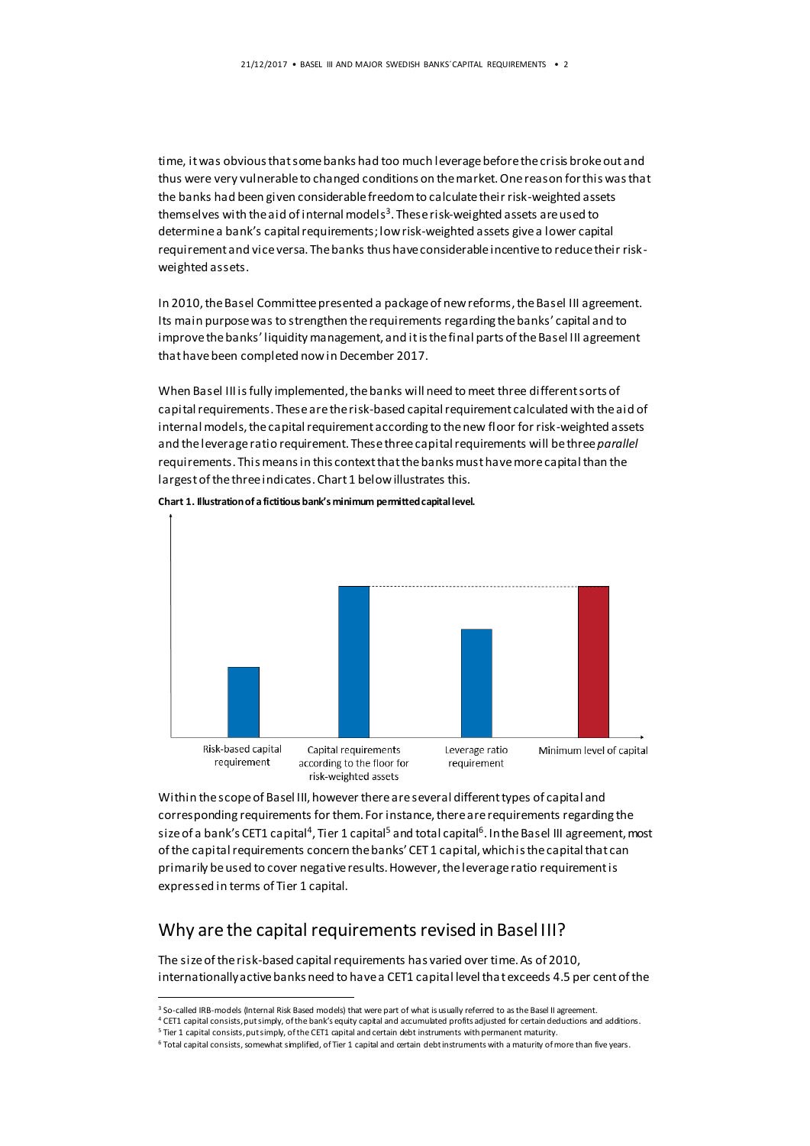time, it was obvious that some banks had too much leverage before the crisis broke out and thus were very vulnerable to changed conditions on the market. One reason for this was that the banks had been given considerable freedom to calculate their risk-weighted assets themselves with the aid of internal models<sup>3</sup>. These risk-weighted assets are used to determine a bank's capital requirements; low risk-weighted assets give a lower capital requirement and vice versa. The banks thus have considerable incentive to reduce their riskweighted assets.

In 2010, the Basel Committee presented a package of new reforms, the Basel III agreement. Its main purpose was to strengthen the requirements regarding the banks' capital and to improve the banks' liquidity management, and it is the final parts of the Basel III agreement that have been completed now in December 2017.

When Basel III is fully implemented, the banks will need to meet three different sorts of capital requirements. These are the risk-based capital requirement calculated with the aid of internal models, the capital requirement according to the new floor for risk-weighted assets and the leverage ratio requirement. These three capital requirements will bethree *parallel* requirements. This means in this context that the banks must have more capital than the largest of the three indicates. Chart 1 below illustrates this.



**Chart 1. Illustration of a fictitious bank's minimum permitted capital level.**

Within the scope of Basel III, however there are several different types of capital and corresponding requirements for them. For instance, there are requirements regarding the size of a bank's CET1 capital<sup>4</sup>, Tier 1 capital<sup>5</sup> and total capital<sup>6</sup>. In the Basel III agreement, most of the capital requirements concern the banks' CET 1 capital, which is the capital that can primarily be used to cover negative results. However, the leverage ratio requirement is expressed in terms of Tier 1 capital.

#### Why are the capital requirements revised in Basel III?

The size of the risk-based capital requirements has varied over time. As of 2010, internationally active banks need to have a CET1 capital level that exceeds 4.5 per cent of the

 $\overline{a}$ 

<sup>&</sup>lt;sup>3</sup> So-called IRB-models (Internal Risk Based models) that were part of what is usually referred to as the Basel II agreement.

<sup>4</sup> CET1 capital consists, put simply, of the bank's equity capital and accumulated profits adjusted for certain deductions and additions.

<sup>&</sup>lt;sup>5</sup> Tier 1 capital consists, put simply, of the CET1 capital and certain debt instruments with permanent maturity.

<sup>6</sup> Total capital consists, somewhat simplified, of Tier 1 capital and certain debt instruments with a maturity of more than five years.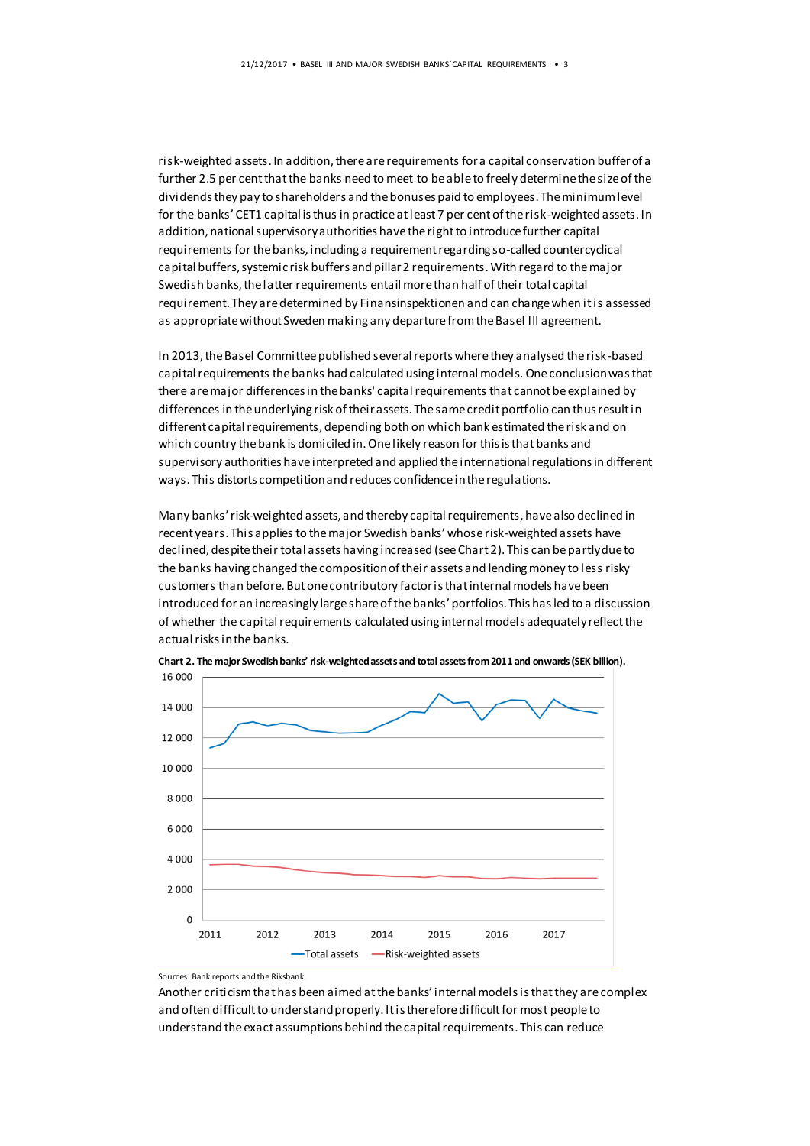risk-weighted assets. In addition, there are requirements for a capital conservation buffer of a further 2.5 per cent that the banks need to meet to be able to freely determine the size of the dividends they pay to shareholders and the bonuses paid to employees. The minimum level for the banks' CET1 capital is thus in practice at least 7 per cent of the risk-weighted assets. In addition, national supervisory authorities have the right to introduce further capital requirements for the banks, including a requirement regarding so-called countercyclical capital buffers, systemic risk buffers and pillar 2 requirements. With regard to the major Swedish banks, the latter requirements entail more than half of their total capital requirement. They are determined by Finansinspektionen and can change when it is assessed as appropriate without Sweden making any departure from the Basel III agreement.

In 2013, the Basel Committee published several reports where they analysed the risk-based capital requirements the banks had calculated using internal models. One conclusion was that there are major differences in the banks' capital requirements that cannot be explained by differences in the underlying risk of their assets. The same credit portfolio can thus result in different capital requirements, depending both on which bank estimated the risk and on which country the bank is domiciled in. One likely reason for this is that banks and supervisory authorities have interpreted and applied the international regulations in different ways. This distorts competition and reduces confidence in the regulations.

Many banks' risk-weighted assets, and thereby capital requirements, have also declined in recent years. This applies to the major Swedish banks' whose risk-weighted assets have declined, despite their total assets having increased (see Chart 2). This can be partly due to the banks having changed the composition of their assets and lending money to less risky customers than before. But one contributory factor is that internal models have been introduced for an increasingly large share of the banks' portfolios. This has led to a discussion of whether the capital requirements calculated using internal models adequately reflect the actual risks in the banks.



**Chart 2. The major Swedish banks' risk-weighted assets and total assets from 2011 and onwards (SEK billion).**

Sources: Bank reports and the Riksbank.

Another criticism that has been aimed at the banks' internal models is that they are complex and often difficult to understand properly. It is therefore difficult for most people to understand the exact assumptions behind the capital requirements. This can reduce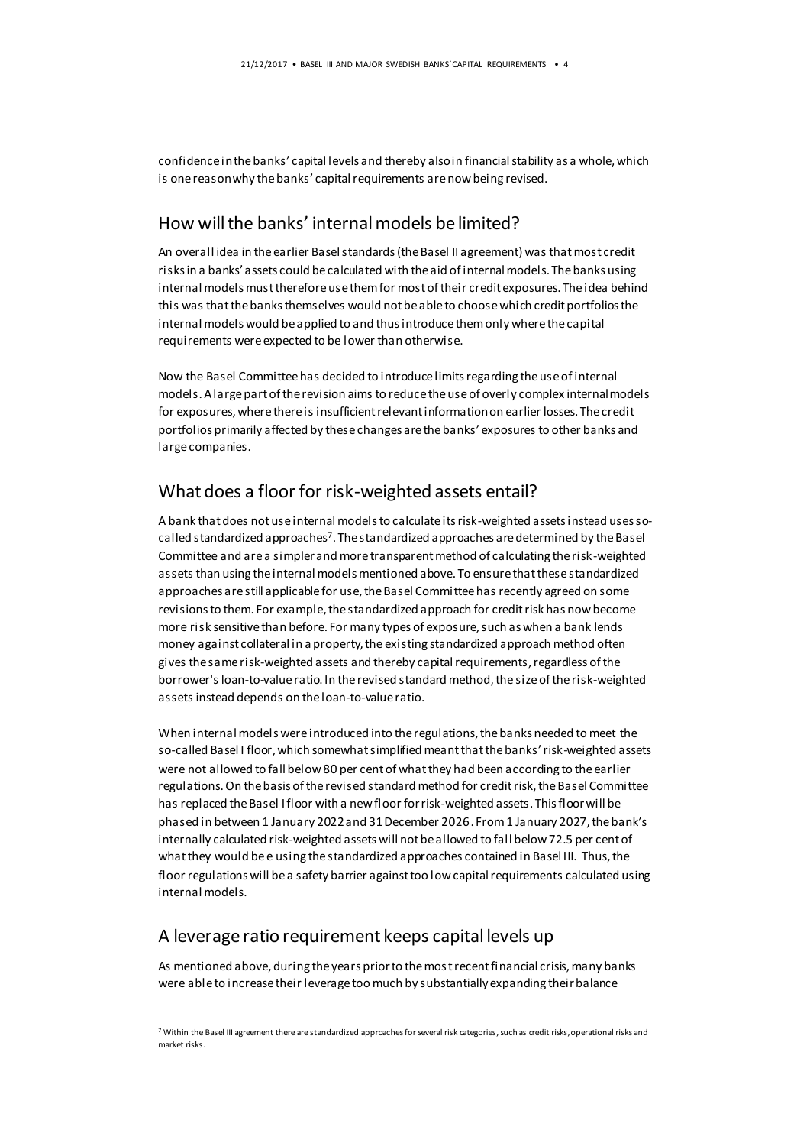confidence in the banks' capital levels and thereby also in financial stability as a whole, which is one reason why the banks' capital requirements are now being revised.

#### How will the banks' internal models be limited?

An overall idea in the earlier Basel standards (the Basel II agreement) was that most credit risks in a banks' assets could be calculated with the aid of internal models. The banks using internal models must therefore use them for most of their credit exposures. The idea behind this was that the banks themselves would not be able to choose which credit portfolios the internal models would be applied to and thus introduce them only where the capital requirements were expected to be lower than otherwise.

Now the Basel Committee has decided to introduce limits regarding the use of internal models. A large part of the revision aims to reduce the use of overly complex internal models for exposures, where there is insufficient relevant information on earlier losses. The credit portfolios primarily affected by these changes are the banks' exposures to other banks and large companies.

#### What does a floor for risk-weighted assets entail?

A bank that does not use internal models to calculate its risk-weighted assets instead uses socalled standardized approaches<sup>7</sup>. The standardized approaches are determined by the Basel Committee and are a simpler and more transparent method of calculating the risk-weighted assets than using the internal models mentioned above. To ensure that these standardized approaches are still applicable for use, the Basel Committee has recently agreed on some revisions to them. For example, the standardized approach for credit risk has now become more risk sensitive than before. For many types of exposure, such as when a bank lends money against collateral in a property, the existing standardized approach method often gives the same risk-weighted assets and thereby capital requirements, regardless of the borrower's loan-to-value ratio. In the revised standard method, the size of the risk-weighted assets instead depends on the loan-to-value ratio.

When internal models were introduced into the regulations, the banks needed to meet the so-called Basel I floor, which somewhat simplified meant that the banks' risk-weighted assets were not allowed to fall below 80 per cent of what they had been according to the earlier regulations. On the basis of the revised standard method for credit risk, the Basel Committee has replaced the Basel I floor with a new floor for risk-weighted assets. This floor will be phased in between 1 January 2022 and 31 December 2026. From 1 January 2027, the bank's internally calculated risk-weighted assets will not be allowed to fall below 72.5 per cent of what they would be e using the standardized approaches contained in Basel III. Thus, the floor regulations will be a safety barrier against too low capital requirements calculated using internal models.

#### A leverage ratio requirement keeps capital levels up

 $\overline{a}$ 

As mentioned above, during the years prior to the most recent financial crisis, many banks were able to increase their leverage too much by substantially expanding their balance

<sup>7</sup> Within the Basel III agreement there are standardized approaches for several risk categories, such as credit risks, operational risks and market risks.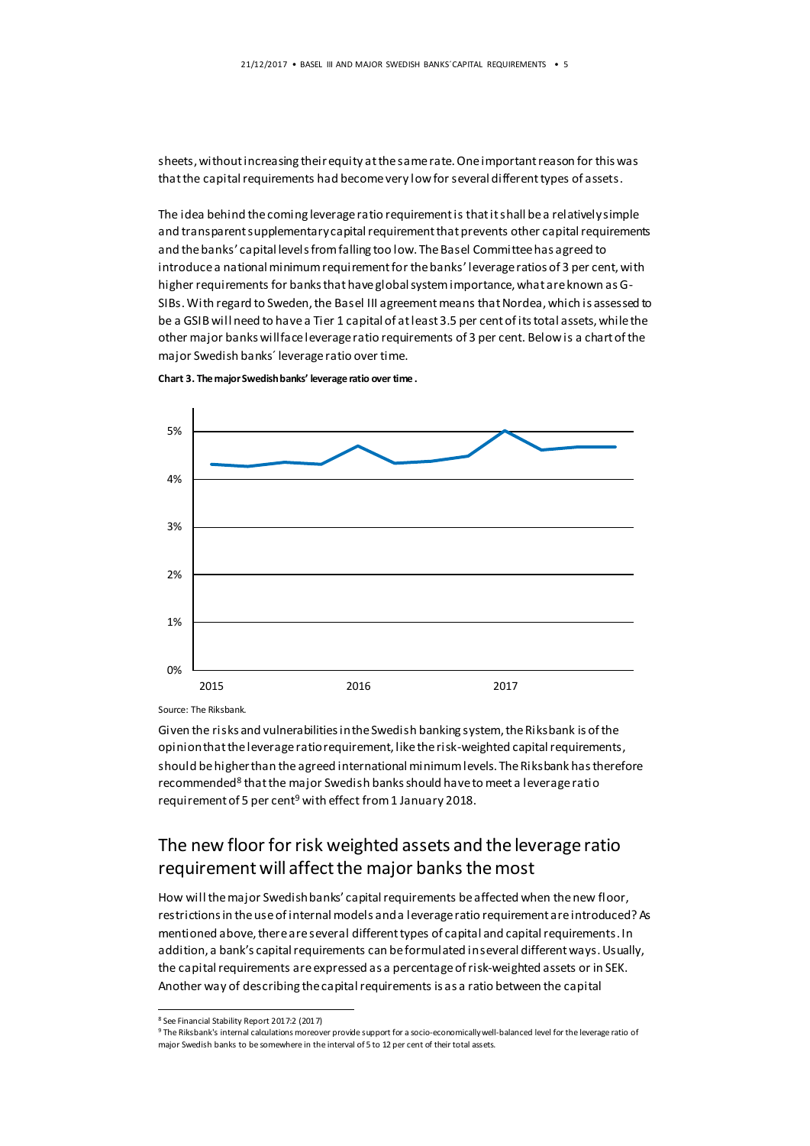sheets, without increasing their equity at the same rate. One important reason for this was that the capital requirements had become very low for several different types of assets.

The idea behind the coming leverage ratio requirement is that it shall be a relatively simple and transparent supplementary capital requirement that prevents other capital requirements and the banks' capital levels from falling too low. The Basel Committee has agreed to introduce a national minimum requirement for the banks' leverage ratios of 3 per cent, with higher requirements for banks that have global system importance, what are known as G-SIBs. With regard to Sweden, the Basel III agreementmeans that Nordea, which is assessed to be a GSIB will need to have a Tier 1 capital of at least 3.5 per cent of its total assets, while the other major banks will face leverage ratio requirements of 3 per cent. Below is a chart of the major Swedish banks´ leverage ratio over time.



**Chart 3. The major Swedish banks' leverage ratio over time .**

Source: The Riksbank.

Given the risks and vulnerabilities in the Swedish banking system, the Riksbank is of the opinion that the leverage ratio requirement, like the risk-weighted capital requirements, should be higher than the agreed international minimum levels. The Riksbank has therefore recommended<sup>8</sup> that the major Swedish banks should have to meet a leverage ratio requirement of 5 per cent<sup>9</sup> with effect from 1 January 2018.

#### The new floor for risk weighted assets and the leverage ratio requirement will affect the major banks the most

How will the major Swedish banks' capital requirements be affected when the new floor, restrictions in the use of internal models and a leverage ratio requirement are introduced? As mentioned above, there are several different types of capital and capital requirements. In addition, a bank's capital requirements can be formulated in several different ways. Usually, the capital requirements areexpressed as a percentage of risk-weighted assets or in SEK. Another way of describing the capital requirements is as a ratio between the capital

 $\overline{a}$ 

<sup>9</sup> The Riksbank's internal calculations moreover provide support for a socio-economically well-balanced level for the leverage ratio of major Swedish banks to be somewhere in the interval of 5 to 12 per cent of their total assets.

<sup>8</sup> See Financial Stability Report 2017:2 (2017)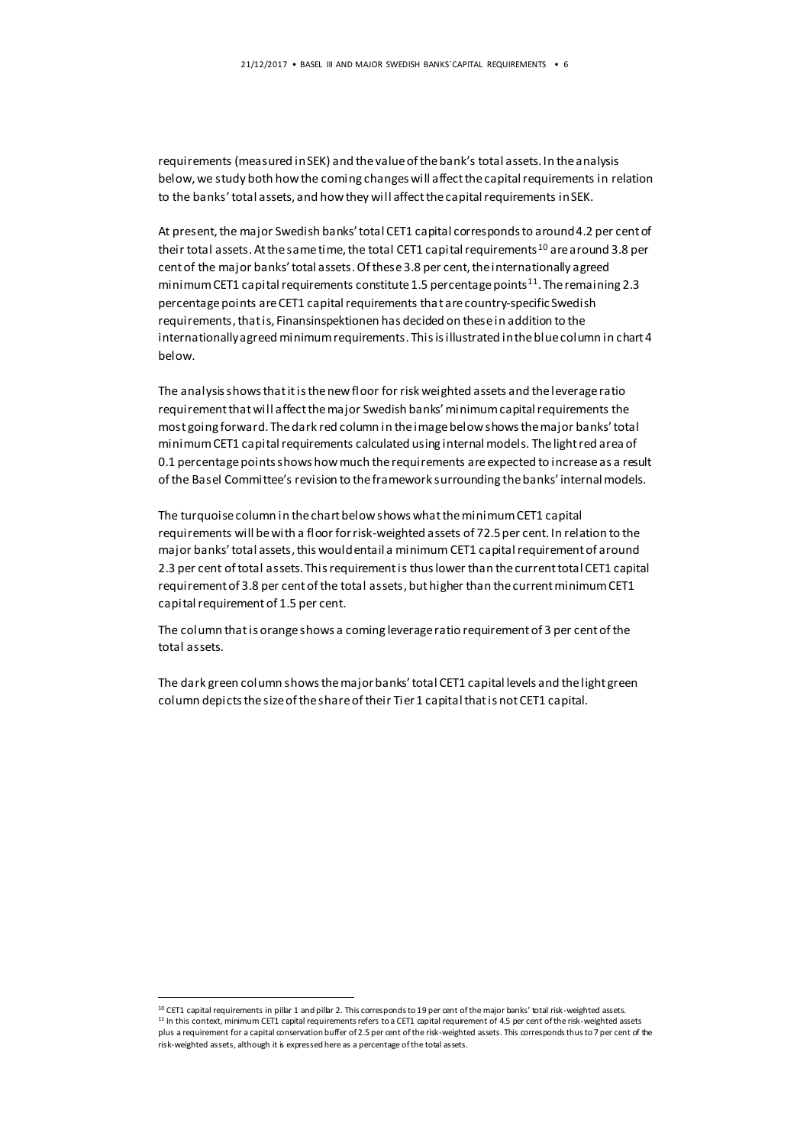requirements (measured in SEK) and the value of the bank's total assets. In the analysis below, we study both how the coming changes will affect the capital requirements in relation to the banks' total assets, and how they will affect the capital requirements in SEK.

At present, the major Swedish banks' total CET1 capital corresponds to around 4.2 per cent of their total assets. At the same time, the total CET1 capital requirements<sup>10</sup> are around 3.8 per cent of the major banks' total assets. Of these 3.8 per cent, the internationally agreed minimum CET1 capital requirements constitute 1.5 percentage points<sup>11</sup>. The remaining 2.3 percentage points are CET1 capital requirements that are country-specific Swedish requirements, that is, Finansinspektionen has decided on these in addition to the internationally agreed minimum requirements. This is illustrated in the blue column in chart 4 below.

The analysis shows that it is the new floor for risk weighted assets and the leverage ratio requirement that will affect the major Swedish banks' minimum capital requirements the most going forward. The dark red column in the image below shows the major banks' total minimum CET1 capital requirements calculated using internal models. The light red area of 0.1 percentage points shows how much the requirements are expected to increase as a result of the Basel Committee's revision to the framework surrounding the banks' internal models.

The turquoise column in the chart below shows what the minimum CET1 capital requirements will be with a floor for risk-weighted assets of 72.5 per cent. In relation to the major banks' total assets, this would entail a minimum CET1 capital requirement of around 2.3 per cent of total assets. This requirement is thus lower than the current total CET1 capital requirement of 3.8 per cent of the total assets, but higher than the current minimum CET1 capital requirement of 1.5 per cent.

The column that is orange shows a coming leverage ratio requirement of 3 per cent of the total assets.

The dark green column shows the major banks' total CET1 capital levels and the light green column depicts the size of the share of their Tier 1 capital that is not CET1 capital.

 $\overline{a}$ 

<sup>&</sup>lt;sup>10</sup> CET1 capital requirements in pillar 1 and pillar 2. This corresponds to 19 per cent of the major banks' total risk-weighted assets.  $11$  In this context, minimum CET1 capital requirements refers to a CET1 capital requirement of 4.5 per cent of the risk-weighted assets plus a requirement for a capital conservation buffer of 2.5 per cent of the risk-weighted assets. This corresponds thus to 7 per cent of the risk-weighted assets, although it is expressed here as a percentage of the total assets.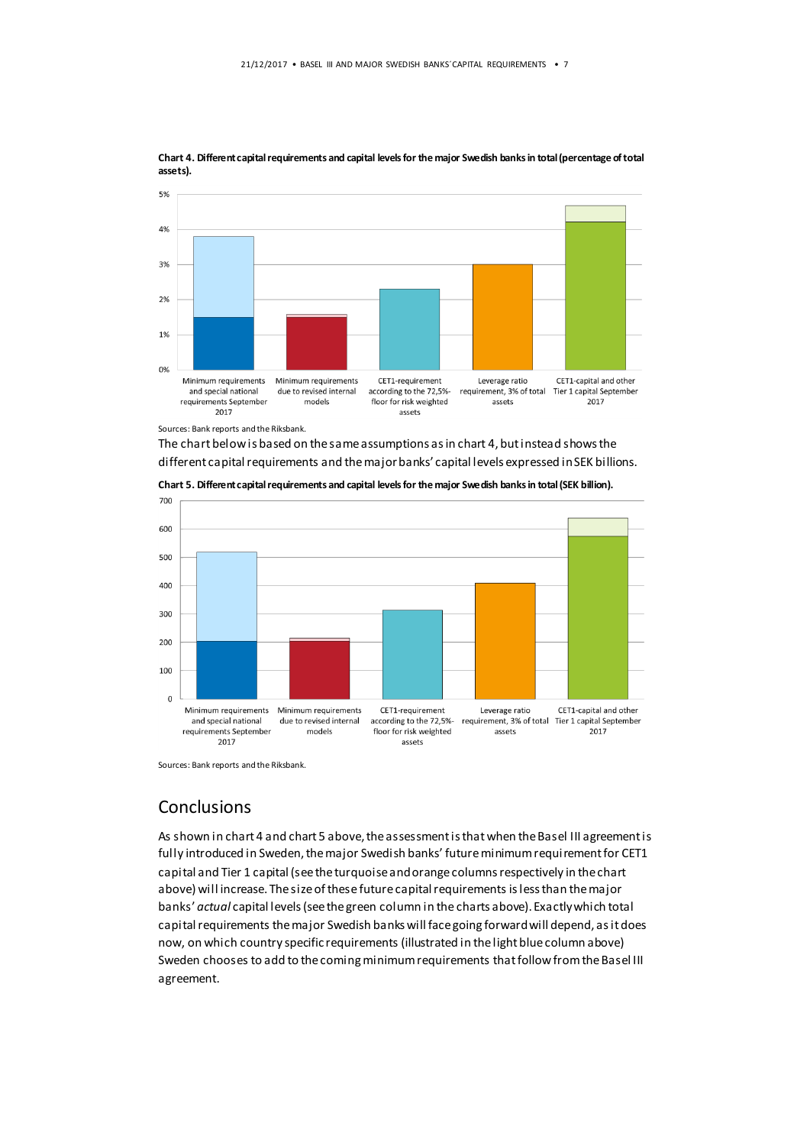

**Chart 4. Different capital requirements and capital levels for the major Swedish banks in total (percentage of total assets).**

Sources: Bank reports and the Riksbank.

The chart below is based on the same assumptions as in chart 4, but instead shows the different capital requirements and the major banks' capital levels expressed in SEK billions.



**Chart 5. Different capital requirements and capital levels for the major Swedish banks in total (SEK billion).**

Sources: Bank reports and the Riksbank.

#### **Conclusions**

As shown in chart 4 and chart 5 above, the assessment is that when the Basel III agreementis fully introduced in Sweden, the major Swedish banks' future minimum requirement for CET1 capital and Tier 1 capital (see the turquoise and orange columns respectively in the chart above) will increase. The size of these future capital requirements is less than the major banks' *actual* capital levels (see the green column in the charts above). Exactly which total capital requirements the major Swedish banks will face going forward will depend, as it does now, on which country specific requirements (illustrated in the light blue column above) Sweden chooses to add to the coming minimum requirements that follow fromthe Basel III agreement.